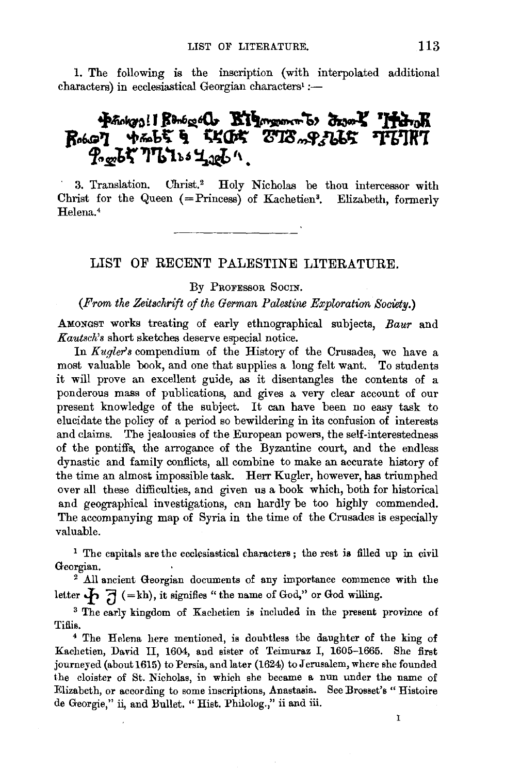1. The following is the inscription (with interpolated additional paracters) in ecclesiastical Georgian characters<sup>1</sup> :-

## Photogo! | Renogol Bigmonto drome 'ItanK  $R$  $P_{\text{out}}$

3. Translation. Christ.<sup>2</sup> Holy Nicholas be thou intercessor with Christ for the Queen  $(=Pr_{i}$ ncess) of Kachetien<sup>3</sup>. Elizabeth, formerly Helena.<sup>4</sup>

## LIST OF RECENT PALESTINE LITERATURE.

By PROFESSOR SOCIN.

## *(From the Zeitschrift of the German Palestine Exploration Society.)*

AMONGST works treating of early ethnographical subjects, *Baur* and *Kautsch's* short sketches deserve especial notice.

In *Kugler's* compendium of the History of the Crusades, we have a most value of componential of the mistory of the Ortsdates, we have a  $\frac{1}{2}$  valuable book, and one that supplies a long left want. To students publications, and gives a very clear account of our  $\frac{1}{2}$  and gives a very clear account of our present knowledge of the subject. It can have been no easy task to present knowledge of the subject. It can have been no easy task to elucidate the policy of a period so bewildering in its confusion of interests and claims. The jealousies of the European powers, the self-interestedness of the pontiffs, the arrogance of the Byzantine court, and the endless dynastic and family conflicts, all combine to make an accurate history of the time an almost impossible task. Herr Kugler, however, has triumphed over all these difficulties, and given us a book which, both for historical and geographical investigations, can hardly be too highly commended. The accompanying map of Syria in the time of the Crusades is especially valuable.

<sup>1</sup> The capitals are the ecclesiastical characters; the rest is filled up in civil Georgian.<br>Corgian. 2 All ancient Georgian documents of any importance commence with the

<sup>2</sup> All ancient Georgian documents of any importance commence<br>tter  $\mathbf{A} \in \mathbb{R}$  (= kh), it signifies "the name of God," or God willing. letter  $\oint \overline{J}$  (=kh), it signifies "the name of God," or God willing.<br><sup>3</sup> The early kingdom of Kachetien is included in the present province of

Tiflis. 4 The Helena here mentioned, is doubtless the daughter of the king of

Kachetien, David II, 1604, and sister of Teimuraz I, 1605-1665. She first journeyed (about 1615) to Persia, and later (1624) to Jerusalem, where she founded the cloister of St. Nicholas, in which she became a nun under the name of Elizabeth, or according to some inscriptions, Anastasia. See Brosset's "Histoire de Georgie," ii, and Bullet. "Hist. Philolog.," ii and iii.

 $\mathbf{I}$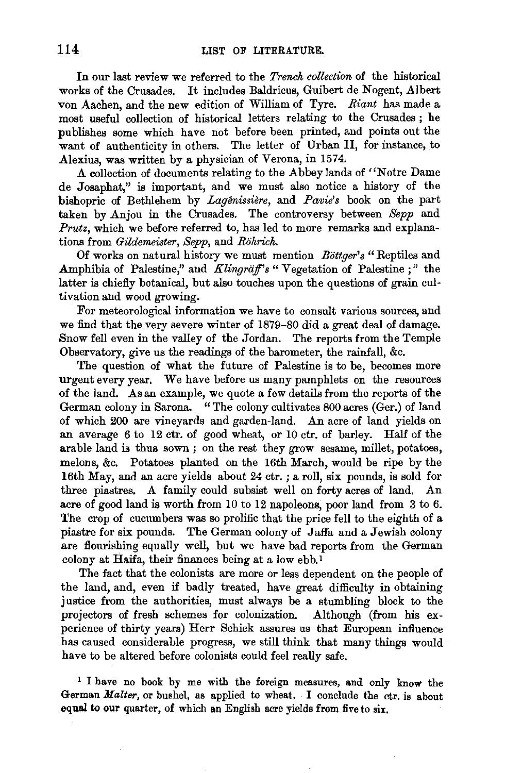In our last review we referred to the *Trench collection* of the historical works of the Crusades. It includes Baldricus, Guibert de Nogent, Albert von Aachen, and the new edition of William of Tyre. *Riant* has made a most useful collection of historical letters relating to the Crusades ; he publishes some which have not before been printed, and points out the want of authenticity in others. The letter of Urban II, for instance, to Alexius, was written by a physician of Verona, in 1574.

A collection of documents relating to the Abbey lands of "Notre Dame de Josaphat," is important, and we must also notice a history of the bishopric of Bethlehem by *Lagenissiere,* and *Pavies* book on the part taken by Anjou in the Crusades. The controversy between *Sepp* and *Prutz*, which we before referred to, has led to more remarks and explanations from *Gildemeister, Sepp,* and *Rohrich.* 

Of works on natural history we must mention *Bottger's* "Reptiles and Amphibia of Palestine," and *Klingräff's* "Vegetation of Palestine;" the latter is chiefly botanical, but also touches upon the questions of grain cultivation and wood growing.

For meteorological information we have to consult various sources, and we find that the very severe winter of 1879-80 did a great deal of damage. Snow fell even in the valley of the Jordan. The reports from the Temple Observatory, give us the readings of the barometer, the rainfall, &c.

The question of what the future of Palestine is to be, becomes more urgent every year. We have before us many pamphlets on the resources of the land. As an example, we quote a few details from the reports of the German colony in Sarona. "The colony cultivates 800 acres (Ger.) of land of which 200 are vineyards and garden-land. An acre of land yields on an average 6 to 12 ctr. of good wheat, or 10 ctr. of barley. Half of the arable land is thus sown ; on the rest they grow sesame, millet, potatoes, melons, &c. Potatoes planted on the 16th March, would be ripe by the 16th May, and an acre yields about 24 ctr. ; a roll, six pounds, is sold for three piastres. A family could subsist well on forty acres of land. An acre of good land is worth from 10 to 12 napoleons, poor land from 3 to 6. The crop of cucumbers was so prolific that the price fell to the eighth of a piastre for six pounds. The German colony of Jaffa and a Jewish colony are flourishing equally well, but we have bad reports from the German colony at Haifa, their finances being at a low ebb. <sup>I</sup>

The fact that the colonists are more or less dependent on the people of the land, and, even if badly treated, have great difficulty in obtaining justice from the authorities, must always be a stumbling block to the projectors of fresh schemes for colonization. Although (from his experience of thirty years) Herr Schick assures us that European influence has caused considerable progress, we still think that many things would have to be altered before colonists could feel really safe.

<sup>1</sup> I have no book by me with the foreign measures, and only know the German *Malter,* or bushel, as applied to wheat. I conclude the ctr. is about equal to our quarter, of which an English acre yields from five to six.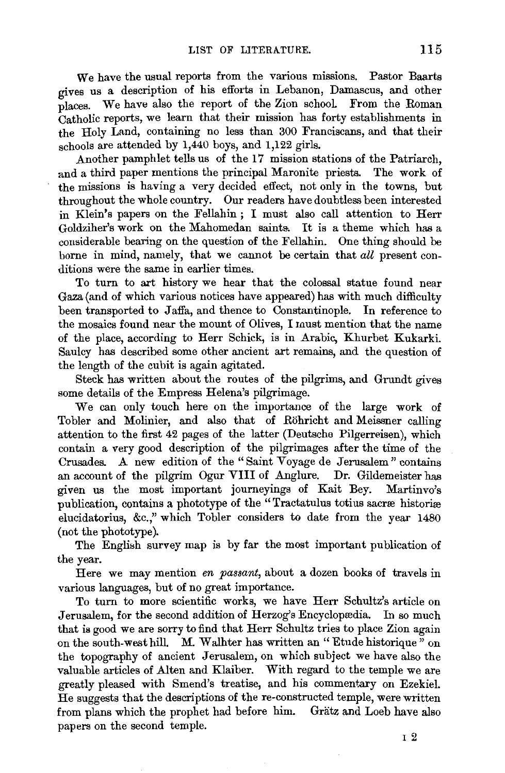We have the usual reports from the various missions. Pastor Baarts gives us a description of his efforts in Lebanon, Damascus, and other places. We have also the report of the Zion schooL From the Roman Catholic reports, we learn that their mission has forty establishments in the Holy Land, containing no less than 300 Franciscans, and that their schools are attended by 1,440 boys, and 1,122 girls.

Another pamphlet tells us of the 17 mission stations of the Patriarch, and a third paper mentions the principal Maronite priests. The work of the missions is having a very decided effect, not only in the towns, but throughout the whole country. Our readers have doubtless been interested in Klein's papers on the Fellahin ; I must also call attention to Herr Goldziher's work on the Mahomedan saints. It is a theme which has a considerable bearing on the question of the Fellahin. One thing should be borne in mind, namely, that we cannot be certain that *all* present conditions were the same in earlier times.

To turn to art history we hear that the colossal statue found near Gaza (and of which various notices have appeared) has with much difficulty been transported to Jaffa, and thence to Constantinople. In reference to the mosaics found near the mount of Olives, I must mention that the name of the place, according to Herr Schick, is in Arabic, Khurbet Kukarki. Saulcy has described some other ancient art remains, and the question of the length of the cubit is again agitated.

Steck has written about the routes of the pilgrims, and Grundt gives some details of the Empress Helena's pilgrimage.

We can only touch here on the importance of the large work of Tobler and Molinier, and also that of Rohricht and Meissner calling attention to the first 42 pages of the latter (Deutsche Pilgerreisen), which contain a very good description of the pilgrimages after the time of the Crusades. A new edition of the "Saint Voyage de Jerusalem" contains an account of the pilgrim Ogur VIII of Anglure. Dr. Gildemeister has given us the most important journeyings of Kait Bey. Martinvo's publication, contains a phototype of the "Tractatulus totius sacræ historiæ elucidatorius, &c.," which Tobler considers to date from the year 1480 (not the phototype).

The English survey map is by far the most important publication of the year.

Here we may mention *en passant,* about a dozen books of travels in various languages, but of no great importance.

To turn to more scientific works, we have Herr Schultz's article on Jerusalem, for the second addition of Herzog's Encyclopædia. In so much that is good we are sorry to find that Herr Schultz tries to place Zion again on the south-west hill. M. Walhter has written an "Etude historique" on the topography of ancient Jerusalem, on which subject we have also the valuable articles of Alten and Klaiber. With regard to the temple we are greatly pleased with Smend's treatise, and his commentary on Ezekiel. He suggests that the descriptions of the re-constructed temple, were written from plans which the prophet had before him. Grätz and Loeb have also papers on the second temple.